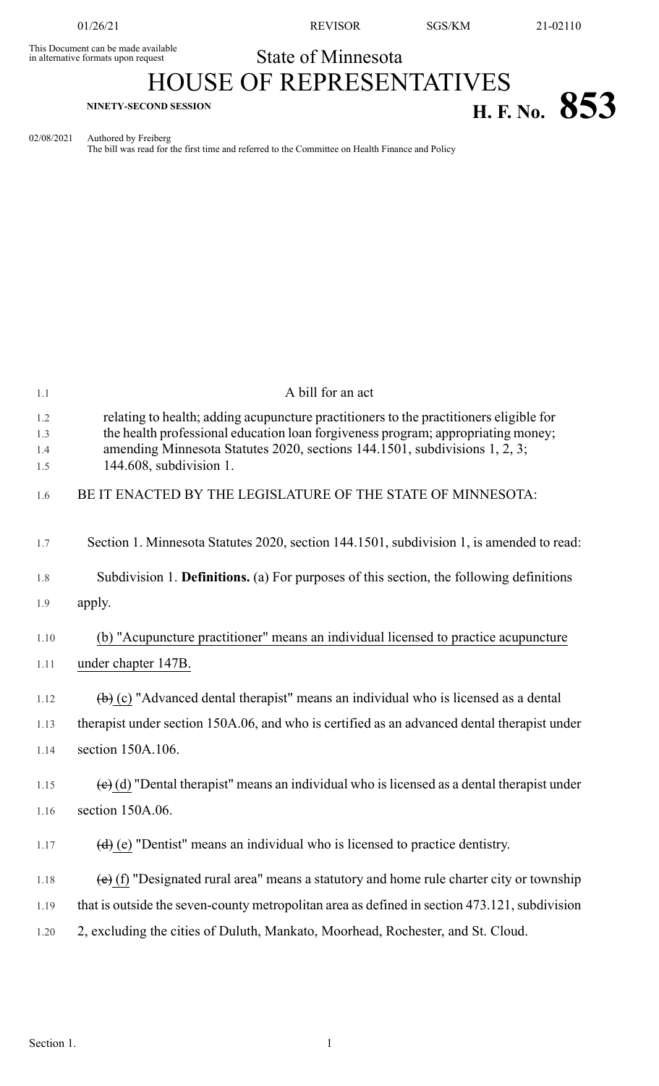This Document can be made available<br>in alternative formats upon request

State of Minnesota

## HOUSE OF REPRESENTATIVES **H. F. NO. 853**

02/08/2021 Authored by Freiberg

The bill was read for the first time and referred to the Committee on Health Finance and Policy

| 1.1                      | A bill for an act                                                                                                                                                                                                                                                                   |
|--------------------------|-------------------------------------------------------------------------------------------------------------------------------------------------------------------------------------------------------------------------------------------------------------------------------------|
| 1.2<br>1.3<br>1.4<br>1.5 | relating to health; adding acupuncture practitioners to the practitioners eligible for<br>the health professional education loan forgiveness program; appropriating money;<br>amending Minnesota Statutes 2020, sections 144.1501, subdivisions 1, 2, 3;<br>144.608, subdivision 1. |
| 1.6                      | BE IT ENACTED BY THE LEGISLATURE OF THE STATE OF MINNESOTA:                                                                                                                                                                                                                         |
| 1.7                      | Section 1. Minnesota Statutes 2020, section 144.1501, subdivision 1, is amended to read:                                                                                                                                                                                            |
| 1.8                      | Subdivision 1. Definitions. (a) For purposes of this section, the following definitions                                                                                                                                                                                             |
| 1.9                      | apply.                                                                                                                                                                                                                                                                              |
| 1.10<br>1.11             | (b) "Acupuncture practitioner" means an individual licensed to practice acupuncture<br>under chapter 147B.                                                                                                                                                                          |
| 1.12                     | $\overline{a}(b)$ (c) "Advanced dental therapist" means an individual who is licensed as a dental                                                                                                                                                                                   |
| 1.13                     | therapist under section 150A.06, and who is certified as an advanced dental therapist under                                                                                                                                                                                         |
| 1.14                     | section 150A.106.                                                                                                                                                                                                                                                                   |
| 1.15                     | $\left(\frac{e}{e}\right)$ (d) "Dental therapist" means an individual who is licensed as a dental therapist under                                                                                                                                                                   |
| 1.16                     | section 150A.06.                                                                                                                                                                                                                                                                    |
| 1.17                     | $(d)$ (e) "Dentist" means an individual who is licensed to practice dentistry.                                                                                                                                                                                                      |
| 1.18                     | $\overline{e}$ (f) "Designated rural area" means a statutory and home rule charter city or township                                                                                                                                                                                 |
| 1.19                     | that is outside the seven-county metropolitan area as defined in section 473.121, subdivision                                                                                                                                                                                       |
| 1.20                     | 2, excluding the cities of Duluth, Mankato, Moorhead, Rochester, and St. Cloud.                                                                                                                                                                                                     |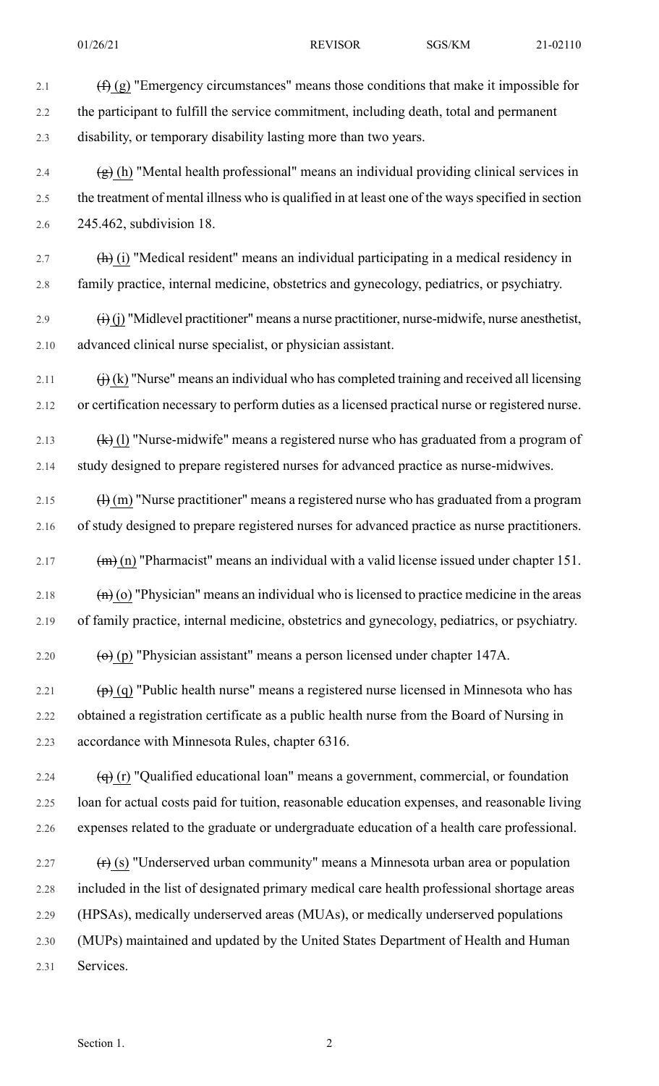2.1  $(f)$  (g) "Emergency circumstances" means those conditions that make it impossible for 2.2 the participant to fulfill the service commitment, including death, total and permanent 2.3 disability, or temporary disability lasting more than two years. 2.4  $\left(\frac{g}{g}\right)$  (h) "Mental health professional" means an individual providing clinical services in 2.5 the treatment of mental illness who is qualified in at least one of the ways specified in section 2.6 245.462, subdivision 18. 2.7  $(h)$  (i) "Medical resident" means an individual participating in a medical residency in 2.8 family practice, internal medicine, obstetrics and gynecology, pediatrics, or psychiatry. 2.9  $(i)$  (j) "Midlevel practitioner" means a nurse practitioner, nurse-midwife, nurse anesthetist, 2.10 advanced clinical nurse specialist, or physician assistant. 2.11  $\qquad (i)$  (k) "Nurse" means an individual who has completed training and received all licensing 2.12 or certification necessary to perform duties as a licensed practical nurse or registered nurse. 2.13  $(k)$  (l) "Nurse-midwife" means a registered nurse who has graduated from a program of 2.14 study designed to prepare registered nurses for advanced practice as nurse-midwives. 2.15  $\left(\frac{1}{1}\right)$  (m) "Nurse practitioner" means a registered nurse who has graduated from a program 2.16 of study designed to prepare registered nurses for advanced practice as nurse practitioners. 2.17  $(m)$  (m) "Pharmacist" means an individual with a valid license issued under chapter 151. 2.18  $\left(\mathbf{n}\right)$  (o) "Physician" means an individual who is licensed to practice medicine in the areas 2.19 of family practice, internal medicine, obstetrics and gynecology, pediatrics, or psychiatry. 2.20  $\qquad \qquad \textbf{(e)} \text{ (p) "Physical assignment" means a person licensed under chapter 147A.}$ 2.21  $\left(\mathbf{p}\right)$  (q) "Public health nurse" means a registered nurse licensed in Minnesota who has 2.22 obtained a registration certificate as a public health nurse from the Board of Nursing in 2.23 accordance with Minnesota Rules, chapter 6316. 2.24  $\left(\mathbf{q}\right)$  (r) "Qualified educational loan" means a government, commercial, or foundation 2.25 loan for actual costs paid for tuition, reasonable education expenses, and reasonable living 2.26 expenses related to the graduate or undergraduate education of a health care professional. 2.27  $(r)(s)$  "Underserved urban community" means a Minnesota urban area or population 2.28 included in the list of designated primary medical care health professional shortage areas 2.29 (HPSAs), medically underserved areas (MUAs), or medically underserved populations

2.30 (MUPs) maintained and updated by the United States Department of Health and Human 2.31 Services.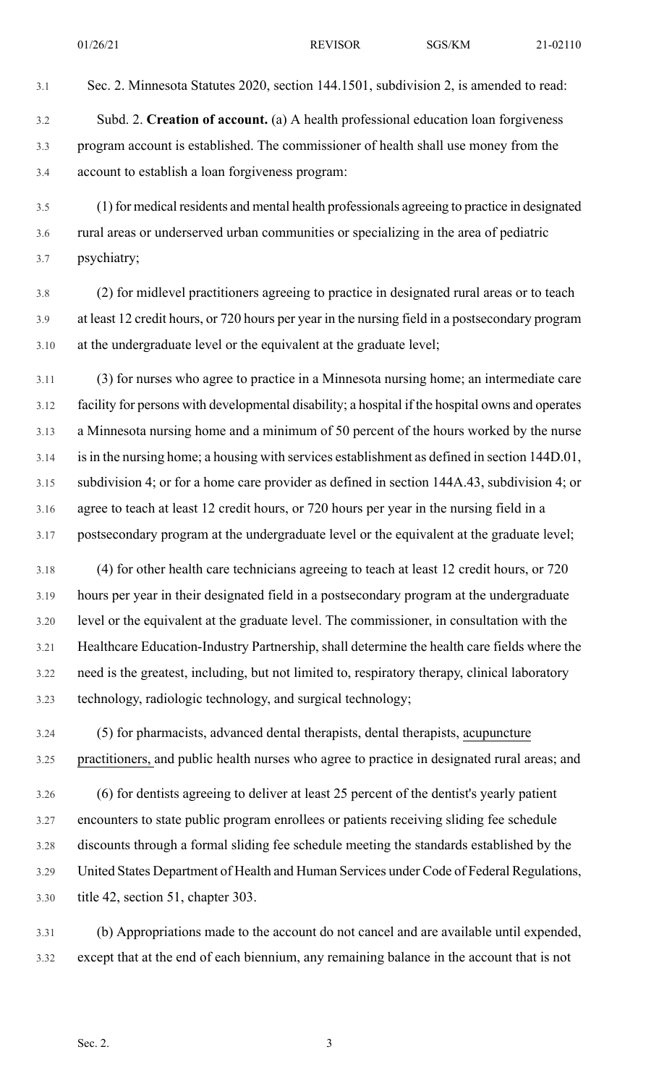3.1 Sec. 2. Minnesota Statutes 2020, section 144.1501, subdivision 2, is amended to read:

- 3.2 Subd. 2. **Creation of account.** (a) A health professional education loan forgiveness 3.3 program account is established. The commissioner of health shall use money from the 3.4 account to establish a loan forgiveness program:
- 3.5 (1) for medical residents and mental health professionals agreeing to practice in designated 3.6 rural areas or underserved urban communities or specializing in the area of pediatric 3.7 psychiatry;
- 3.8 (2) for midlevel practitioners agreeing to practice in designated rural areas or to teach 3.9 at least 12 credit hours, or 720 hours per year in the nursing field in a postsecondary program 3.10 at the undergraduate level or the equivalent at the graduate level;
- 3.11 (3) for nurses who agree to practice in a Minnesota nursing home; an intermediate care 3.12 facility for persons with developmental disability; a hospital if the hospital owns and operates 3.13 a Minnesota nursing home and a minimum of 50 percent of the hours worked by the nurse 3.14 isin the nursing home; a housing with services establishment as defined in section 144D.01, 3.15 subdivision 4; or for a home care provider as defined in section 144A.43, subdivision 4; or 3.16 agree to teach at least 12 credit hours, or 720 hours per year in the nursing field in a 3.17 postsecondary program at the undergraduate level or the equivalent at the graduate level;
- 3.18 (4) for other health care technicians agreeing to teach at least 12 credit hours, or 720 3.19 hours per year in their designated field in a postsecondary program at the undergraduate 3.20 level or the equivalent at the graduate level. The commissioner, in consultation with the 3.21 Healthcare Education-Industry Partnership, shall determine the health care fields where the 3.22 need is the greatest, including, but not limited to, respiratory therapy, clinical laboratory 3.23 technology, radiologic technology, and surgical technology;
- 3.24 (5) for pharmacists, advanced dental therapists, dental therapists, acupuncture 3.25 practitioners, and public health nurses who agree to practice in designated rural areas; and
- 3.26 (6) for dentists agreeing to deliver at least 25 percent of the dentist's yearly patient 3.27 encounters to state public program enrollees or patients receiving sliding fee schedule 3.28 discounts through a formal sliding fee schedule meeting the standards established by the 3.29 United States Department of Health and Human Services under Code of Federal Regulations, 3.30 title 42, section 51, chapter 303.
- 3.31 (b) Appropriations made to the account do not cancel and are available until expended, 3.32 except that at the end of each biennium, any remaining balance in the account that is not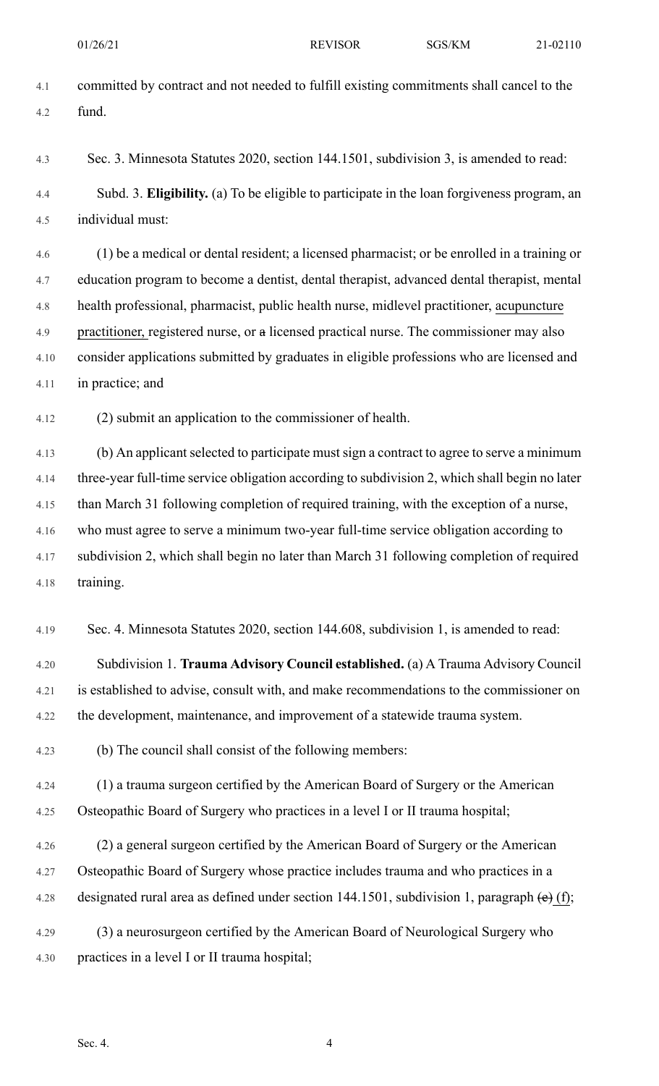- 4.1 committed by contract and not needed to fulfill existing commitments shall cancel to the 4.2 fund.
- 4.3 Sec. 3. Minnesota Statutes 2020, section 144.1501, subdivision 3, is amended to read:
- 4.4 Subd. 3. **Eligibility.** (a) To be eligible to participate in the loan forgiveness program, an 4.5 individual must:

4.6 (1) be a medical or dental resident; a licensed pharmacist; or be enrolled in a training or 4.7 education program to become a dentist, dental therapist, advanced dental therapist, mental 4.8 health professional, pharmacist, public health nurse, midlevel practitioner, acupuncture 4.9 practitioner, registered nurse, or a licensed practical nurse. The commissioner may also 4.10 consider applications submitted by graduates in eligible professions who are licensed and 4.11 in practice; and

4.12 (2) submit an application to the commissioner of health.

4.13 (b) An applicant selected to participate must sign a contract to agree to serve a minimum 4.14 three-year full-time service obligation according to subdivision 2, which shall begin no later 4.15 than March 31 following completion of required training, with the exception of a nurse, 4.16 who must agree to serve a minimum two-year full-time service obligation according to 4.17 subdivision 2, which shall begin no later than March 31 following completion of required 4.18 training.

4.19 Sec. 4. Minnesota Statutes 2020, section 144.608, subdivision 1, is amended to read:

4.20 Subdivision 1. **Trauma Advisory Council established.** (a) A Trauma Advisory Council 4.21 is established to advise, consult with, and make recommendations to the commissioner on 4.22 the development, maintenance, and improvement of a statewide trauma system.

4.23 (b) The council shall consist of the following members:

4.24 (1) a trauma surgeon certified by the American Board of Surgery or the American 4.25 Osteopathic Board of Surgery who practices in a level I or II trauma hospital;

- 4.26 (2) a general surgeon certified by the American Board of Surgery or the American 4.27 Osteopathic Board of Surgery whose practice includes trauma and who practices in a 4.28 designated rural area as defined under section 144.1501, subdivision 1, paragraph  $\left(\mathbf{e}\right)$  (f);
- 4.29 (3) a neurosurgeon certified by the American Board of Neurological Surgery who 4.30 practices in a level I or II trauma hospital;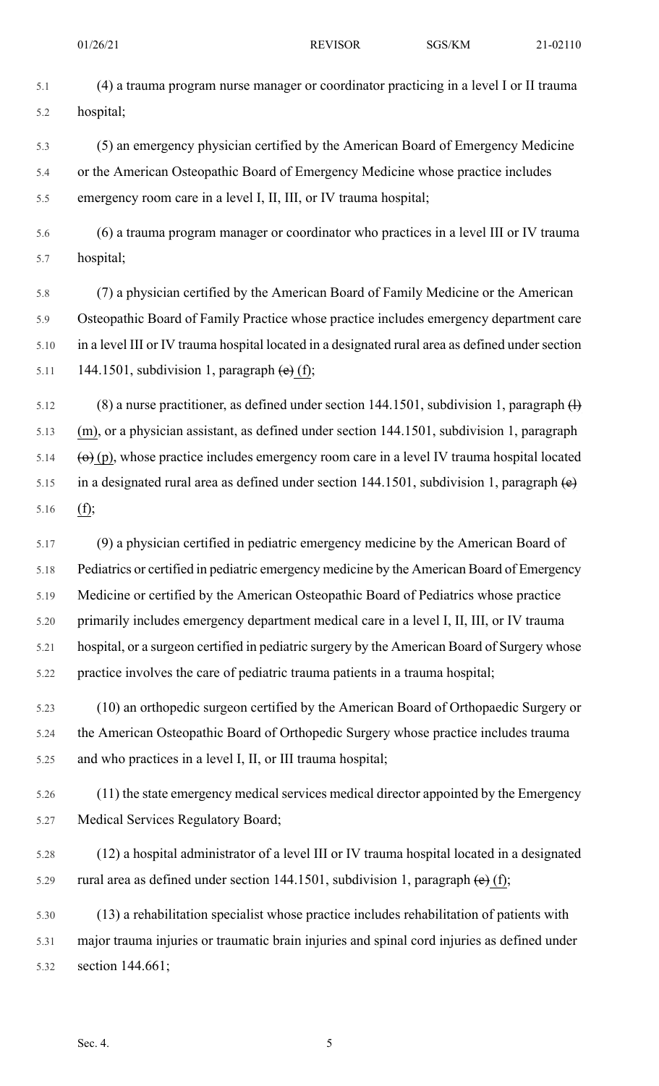- 5.1 (4) a trauma program nurse manager or coordinator practicing in a level I or II trauma 5.2 hospital;
- 5.3 (5) an emergency physician certified by the American Board of Emergency Medicine 5.4 or the American Osteopathic Board of Emergency Medicine whose practice includes 5.5 emergency room care in a level I, II, III, or IV trauma hospital;
- 5.6 (6) a trauma program manager or coordinator who practices in a level III or IV trauma 5.7 hospital;
- 5.8 (7) a physician certified by the American Board of Family Medicine or the American 5.9 Osteopathic Board of Family Practice whose practice includes emergency department care 5.10 in a level III or IV trauma hospital located in a designated rural area as defined under section 5.11 144.1501, subdivision 1, paragraph  $\left(\text{e}\right)$  (f);
- $5.12$  (8) a nurse practitioner, as defined under section 144.1501, subdivision 1, paragraph  $\text{H}$ 5.13 (m), or a physician assistant, as defined under section 144.1501, subdivision 1, paragraph 5.14  $\left(\theta\right)$  (p), whose practice includes emergency room care in a level IV trauma hospital located 5.15 in a designated rural area as defined under section 144.1501, subdivision 1, paragraph  $\left(\mathbf{e}\right)$ 5.16 (f);
- 5.17 (9) a physician certified in pediatric emergency medicine by the American Board of 5.18 Pediatrics or certified in pediatric emergency medicine by the American Board of Emergency 5.19 Medicine or certified by the American Osteopathic Board of Pediatrics whose practice 5.20 primarily includes emergency department medical care in a level I, II, III, or IV trauma 5.21 hospital, or a surgeon certified in pediatric surgery by the American Board of Surgery whose 5.22 practice involves the care of pediatric trauma patients in a trauma hospital;
- 5.23 (10) an orthopedic surgeon certified by the American Board of Orthopaedic Surgery or 5.24 the American Osteopathic Board of Orthopedic Surgery whose practice includes trauma 5.25 and who practices in a level I, II, or III trauma hospital;
- 5.26 (11) the state emergency medical services medical director appointed by the Emergency 5.27 Medical Services Regulatory Board;
- 5.28 (12) a hospital administrator of a level III or IV trauma hospital located in a designated 5.29 rural area as defined under section 144.1501, subdivision 1, paragraph  $\left(\mathbf{e}\right)$  (f);
- 5.30 (13) a rehabilitation specialist whose practice includes rehabilitation of patients with 5.31 major trauma injuries or traumatic brain injuries and spinal cord injuries as defined under 5.32 section 144.661;